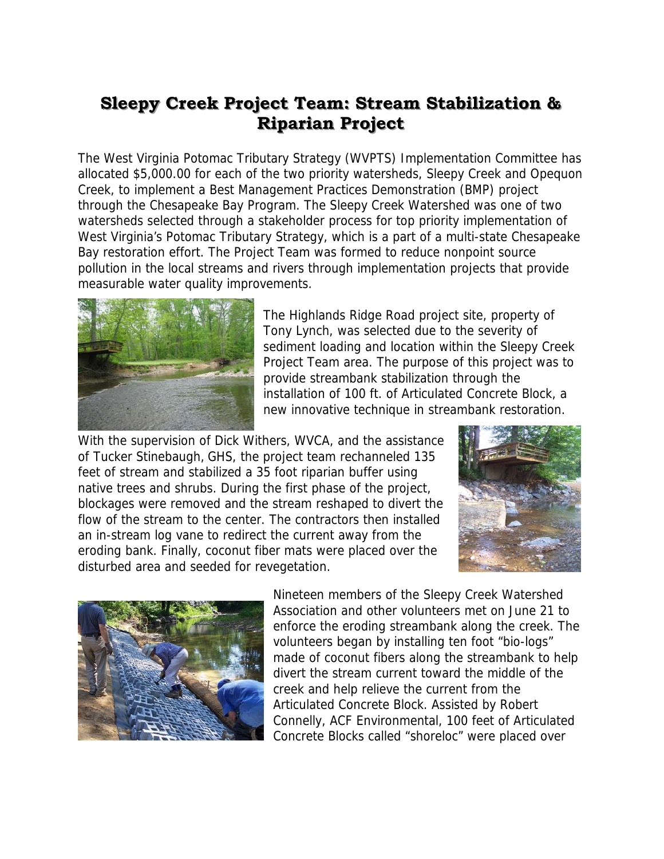## **Sleepy Creek Project Team: Stream Stabilization & Riparian Project**

The West Virginia Potomac Tributary Strategy (WVPTS) Implementation Committee has allocated \$5,000.00 for each of the two priority watersheds, Sleepy Creek and Opequon Creek, to implement a Best Management Practices Demonstration (BMP) project through the Chesapeake Bay Program. The Sleepy Creek Watershed was one of two watersheds selected through a stakeholder process for top priority implementation of West Virginia's Potomac Tributary Strategy, which is a part of a multi-state Chesapeake Bay restoration effort. The Project Team was formed to reduce nonpoint source pollution in the local streams and rivers through implementation projects that provide measurable water quality improvements.



The Highlands Ridge Road project site, property of Tony Lynch, was selected due to the severity of sediment loading and location within the Sleepy Creek Project Team area. The purpose of this project was to provide streambank stabilization through the installation of 100 ft. of Articulated Concrete Block, a new innovative technique in streambank restoration.

With the supervision of Dick Withers, WVCA, and the assistance of Tucker Stinebaugh, GHS, the project team rechanneled 135 feet of stream and stabilized a 35 foot riparian buffer using native trees and shrubs. During the first phase of the project, blockages were removed and the stream reshaped to divert the flow of the stream to the center. The contractors then installed an in-stream log vane to redirect the current away from the eroding bank. Finally, coconut fiber mats were placed over the disturbed area and seeded for revegetation.





Nineteen members of the Sleepy Creek Watershed Association and other volunteers met on June 21 to enforce the eroding streambank along the creek. The volunteers began by installing ten foot "bio-logs" made of coconut fibers along the streambank to help divert the stream current toward the middle of the creek and help relieve the current from the Articulated Concrete Block. Assisted by Robert Connelly, ACF Environmental, 100 feet of Articulated Concrete Blocks called "shoreloc" were placed over